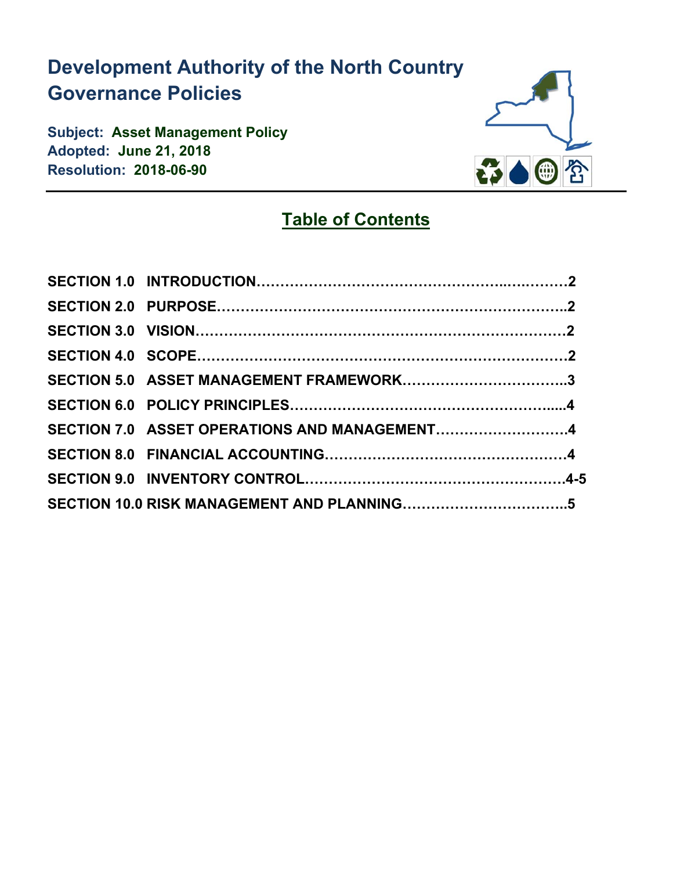# **Development Authority of the North Country Governance Policies**

**Subject: Asset Management Policy Adopted: June 21, 2018 Resolution: 2018-06-90** 



## **Table of Contents**

| SECTION 5.0 ASSET MANAGEMENT FRAMEWORK3      |  |
|----------------------------------------------|--|
|                                              |  |
| SECTION 7.0 ASSET OPERATIONS AND MANAGEMENT4 |  |
|                                              |  |
|                                              |  |
|                                              |  |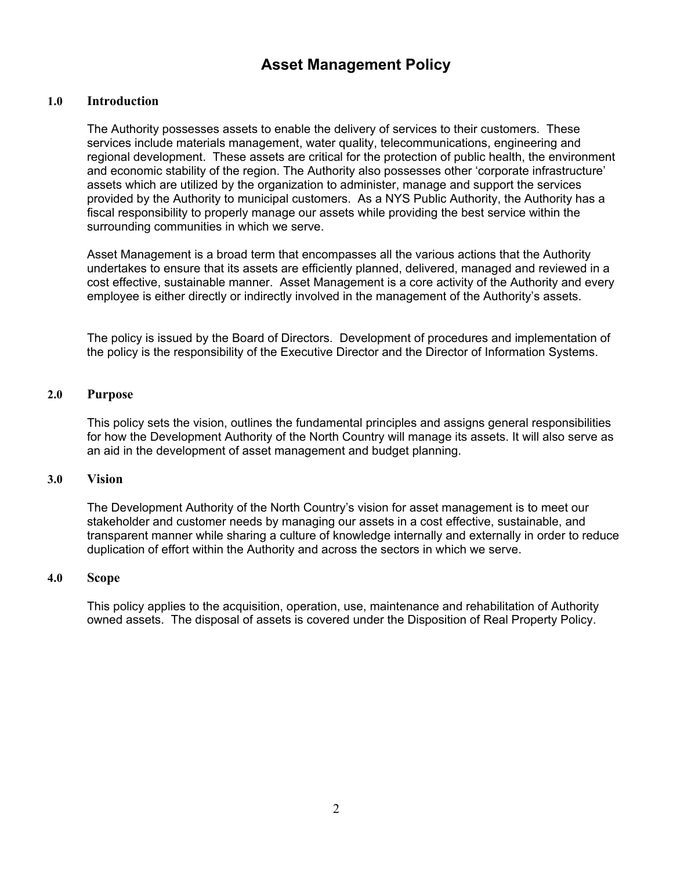## **Asset Management Policy**

## **1.0 Introduction**

The Authority possesses assets to enable the delivery of services to their customers. These services include materials management, water quality, telecommunications, engineering and regional development. These assets are critical for the protection of public health, the environment and economic stability of the region. The Authority also possesses other 'corporate infrastructure' assets which are utilized by the organization to administer, manage and support the services provided by the Authority to municipal customers. As a NYS Public Authority, the Authority has a fiscal responsibility to properly manage our assets while providing the best service within the surrounding communities in which we serve.

Asset Management is a broad term that encompasses all the various actions that the Authority undertakes to ensure that its assets are efficiently planned, delivered, managed and reviewed in a cost effective, sustainable manner. Asset Management is a core activity of the Authority and every employee is either directly or indirectly involved in the management of the Authority's assets.

The policy is issued by the Board of Directors. Development of procedures and implementation of the policy is the responsibility of the Executive Director and the Director of Information Systems.

## **2.0 Purpose**

This policy sets the vision, outlines the fundamental principles and assigns general responsibilities for how the Development Authority of the North Country will manage its assets. It will also serve as an aid in the development of asset management and budget planning.

## **3.0 Vision**

The Development Authority of the North Country's vision for asset management is to meet our stakeholder and customer needs by managing our assets in a cost effective, sustainable, and transparent manner while sharing a culture of knowledge internally and externally in order to reduce duplication of effort within the Authority and across the sectors in which we serve.

## **4.0 Scope**

This policy applies to the acquisition, operation, use, maintenance and rehabilitation of Authority owned assets. The disposal of assets is covered under the Disposition of Real Property Policy.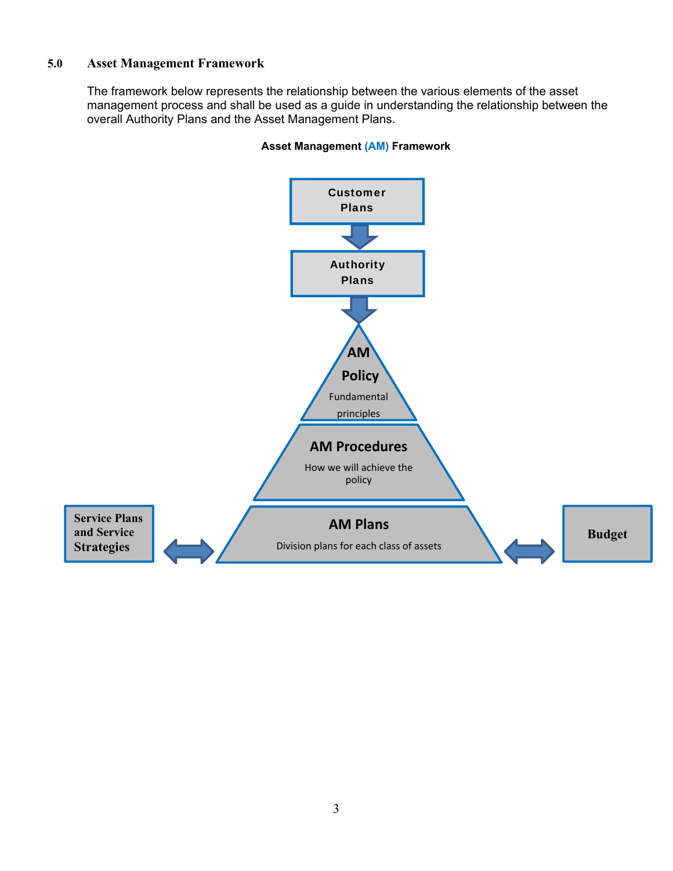## **5.0 Asset Management Framework**

The framework below represents the relationship between the various elements of the asset management process and shall be used as a guide in understanding the relationship between the overall Authority Plans and the Asset Management Plans.



## **Asset Management (AM) Framework**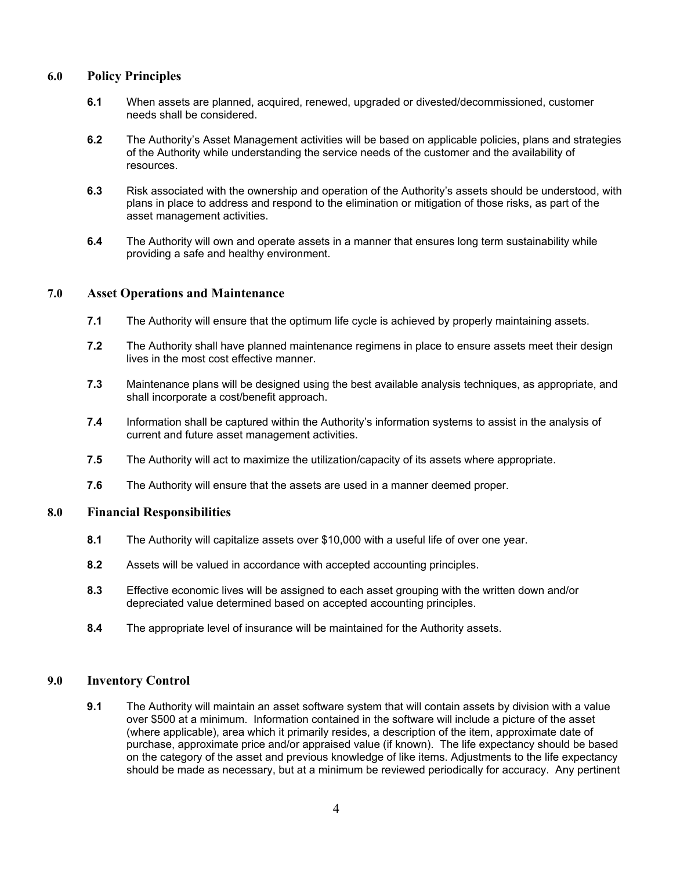## **6.0 Policy Principles**

- **6.1** When assets are planned, acquired, renewed, upgraded or divested/decommissioned, customer needs shall be considered.
- **6.2** The Authority's Asset Management activities will be based on applicable policies, plans and strategies of the Authority while understanding the service needs of the customer and the availability of resources.
- **6.3** Risk associated with the ownership and operation of the Authority's assets should be understood, with plans in place to address and respond to the elimination or mitigation of those risks, as part of the asset management activities.
- **6.4** The Authority will own and operate assets in a manner that ensures long term sustainability while providing a safe and healthy environment.

## **7.0 Asset Operations and Maintenance**

- **7.1** The Authority will ensure that the optimum life cycle is achieved by properly maintaining assets.
- **7.2** The Authority shall have planned maintenance regimens in place to ensure assets meet their design lives in the most cost effective manner.
- **7.3** Maintenance plans will be designed using the best available analysis techniques, as appropriate, and shall incorporate a cost/benefit approach.
- **7.4** Information shall be captured within the Authority's information systems to assist in the analysis of current and future asset management activities.
- **7.5** The Authority will act to maximize the utilization/capacity of its assets where appropriate.
- **7.6** The Authority will ensure that the assets are used in a manner deemed proper.

## **8.0 Financial Responsibilities**

- **8.1** The Authority will capitalize assets over \$10,000 with a useful life of over one year.
- **8.2** Assets will be valued in accordance with accepted accounting principles.
- **8.3** Effective economic lives will be assigned to each asset grouping with the written down and/or depreciated value determined based on accepted accounting principles.
- **8.4** The appropriate level of insurance will be maintained for the Authority assets.

## **9.0 Inventory Control**

**9.1** The Authority will maintain an asset software system that will contain assets by division with a value over \$500 at a minimum. Information contained in the software will include a picture of the asset (where applicable), area which it primarily resides, a description of the item, approximate date of purchase, approximate price and/or appraised value (if known). The life expectancy should be based on the category of the asset and previous knowledge of like items. Adjustments to the life expectancy should be made as necessary, but at a minimum be reviewed periodically for accuracy. Any pertinent